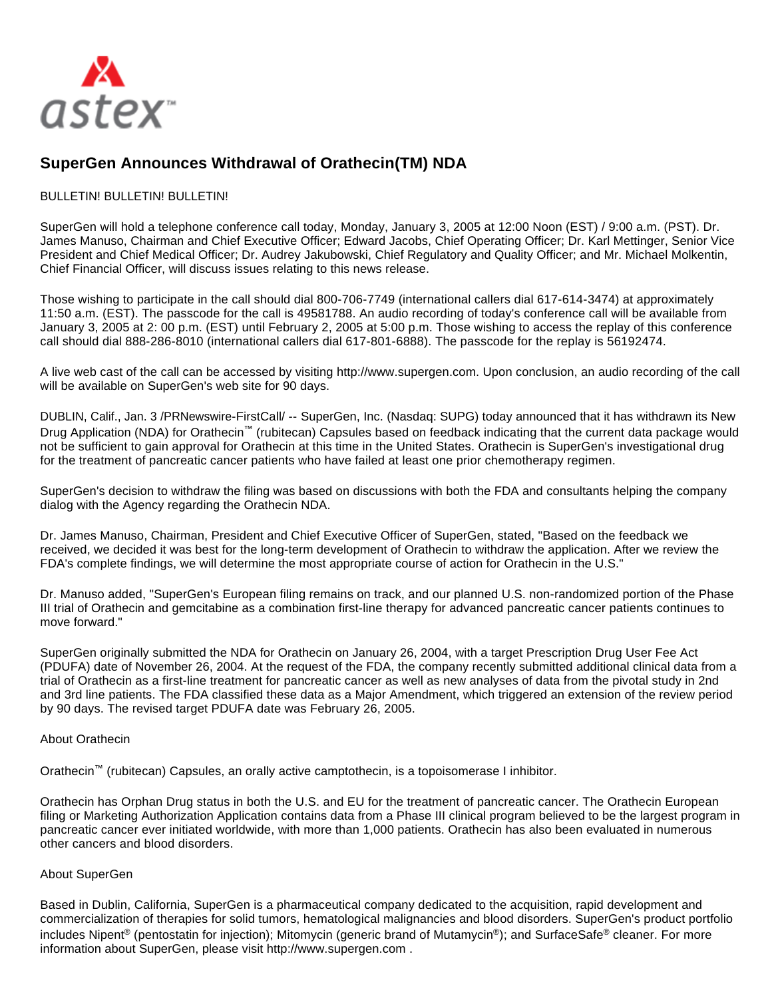

## **SuperGen Announces Withdrawal of Orathecin(TM) NDA**

## BULLETIN! BULLETIN! BULLETIN!

SuperGen will hold a telephone conference call today, Monday, January 3, 2005 at 12:00 Noon (EST) / 9:00 a.m. (PST). Dr. James Manuso, Chairman and Chief Executive Officer; Edward Jacobs, Chief Operating Officer; Dr. Karl Mettinger, Senior Vice President and Chief Medical Officer; Dr. Audrey Jakubowski, Chief Regulatory and Quality Officer; and Mr. Michael Molkentin, Chief Financial Officer, will discuss issues relating to this news release.

Those wishing to participate in the call should dial 800-706-7749 (international callers dial 617-614-3474) at approximately 11:50 a.m. (EST). The passcode for the call is 49581788. An audio recording of today's conference call will be available from January 3, 2005 at 2: 00 p.m. (EST) until February 2, 2005 at 5:00 p.m. Those wishing to access the replay of this conference call should dial 888-286-8010 (international callers dial 617-801-6888). The passcode for the replay is 56192474.

A live web cast of the call can be accessed by visiting http://www.supergen.com. Upon conclusion, an audio recording of the call will be available on SuperGen's web site for 90 days.

DUBLIN, Calif., Jan. 3 /PRNewswire-FirstCall/ -- SuperGen, Inc. (Nasdaq: SUPG) today announced that it has withdrawn its New Drug Application (NDA) for Orathecin™ (rubitecan) Capsules based on feedback indicating that the current data package would not be sufficient to gain approval for Orathecin at this time in the United States. Orathecin is SuperGen's investigational drug for the treatment of pancreatic cancer patients who have failed at least one prior chemotherapy regimen.

SuperGen's decision to withdraw the filing was based on discussions with both the FDA and consultants helping the company dialog with the Agency regarding the Orathecin NDA.

Dr. James Manuso, Chairman, President and Chief Executive Officer of SuperGen, stated, "Based on the feedback we received, we decided it was best for the long-term development of Orathecin to withdraw the application. After we review the FDA's complete findings, we will determine the most appropriate course of action for Orathecin in the U.S."

Dr. Manuso added, "SuperGen's European filing remains on track, and our planned U.S. non-randomized portion of the Phase III trial of Orathecin and gemcitabine as a combination first-line therapy for advanced pancreatic cancer patients continues to move forward."

SuperGen originally submitted the NDA for Orathecin on January 26, 2004, with a target Prescription Drug User Fee Act (PDUFA) date of November 26, 2004. At the request of the FDA, the company recently submitted additional clinical data from a trial of Orathecin as a first-line treatment for pancreatic cancer as well as new analyses of data from the pivotal study in 2nd and 3rd line patients. The FDA classified these data as a Major Amendment, which triggered an extension of the review period by 90 days. The revised target PDUFA date was February 26, 2005.

## About Orathecin

Orathecin™ (rubitecan) Capsules, an orally active camptothecin, is a topoisomerase I inhibitor.

Orathecin has Orphan Drug status in both the U.S. and EU for the treatment of pancreatic cancer. The Orathecin European filing or Marketing Authorization Application contains data from a Phase III clinical program believed to be the largest program in pancreatic cancer ever initiated worldwide, with more than 1,000 patients. Orathecin has also been evaluated in numerous other cancers and blood disorders.

## About SuperGen

Based in Dublin, California, SuperGen is a pharmaceutical company dedicated to the acquisition, rapid development and commercialization of therapies for solid tumors, hematological malignancies and blood disorders. SuperGen's product portfolio includes Nipent<sup>®</sup> (pentostatin for injection); Mitomycin (generic brand of Mutamycin<sup>®</sup>); and SurfaceSafe<sup>®</sup> cleaner. For more information about SuperGen, please visit http://www.supergen.com .